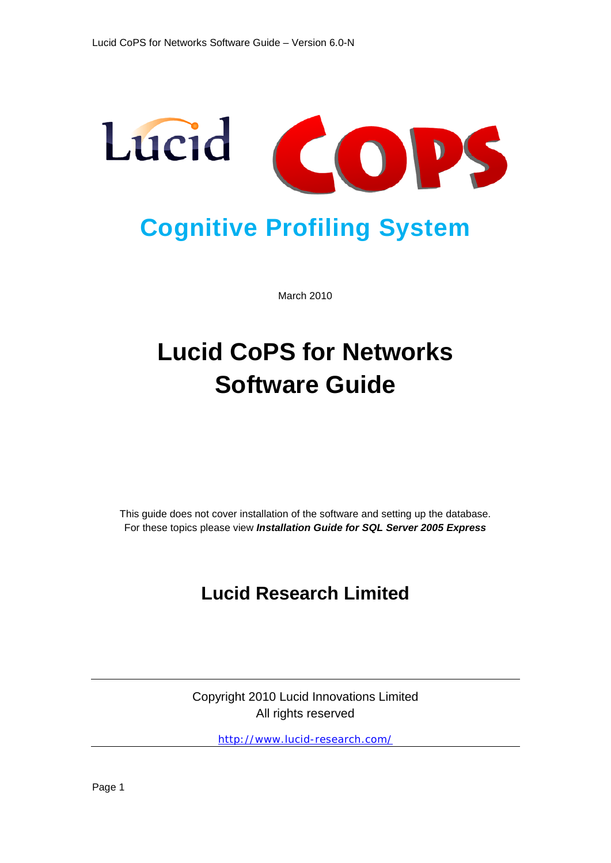

March 2010

# **Lucid CoPS for Networks Software Guide**

This guide does not cover installation of the software and setting up the database. For these topics please view *Installation Guide for SQL Server 2005 Express*

## **Lucid Research Limited**

Copyright 2010 Lucid Innovations Limited All rights reserved

<http://www.lucid-research.com/>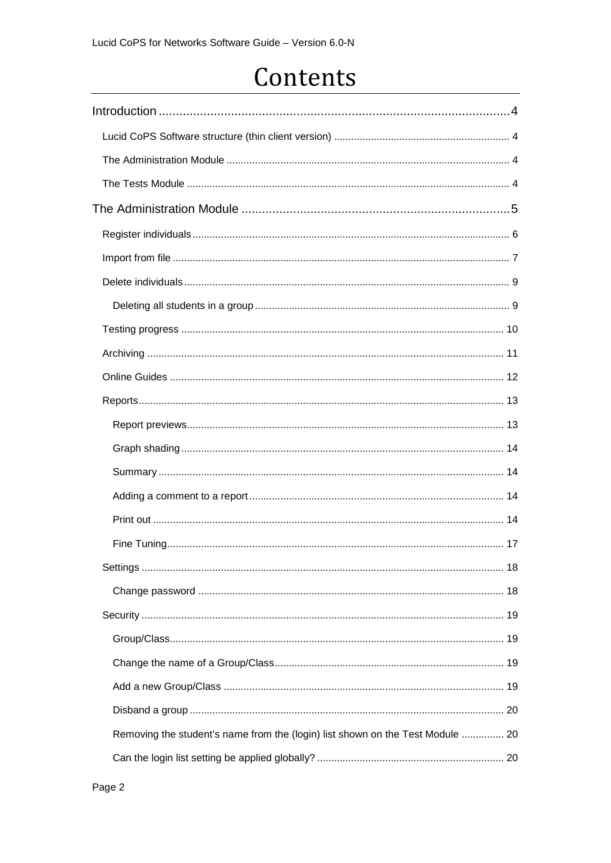# Contents

<span id="page-1-0"></span>

| Removing the student's name from the (login) list shown on the Test Module  20 |
|--------------------------------------------------------------------------------|
|                                                                                |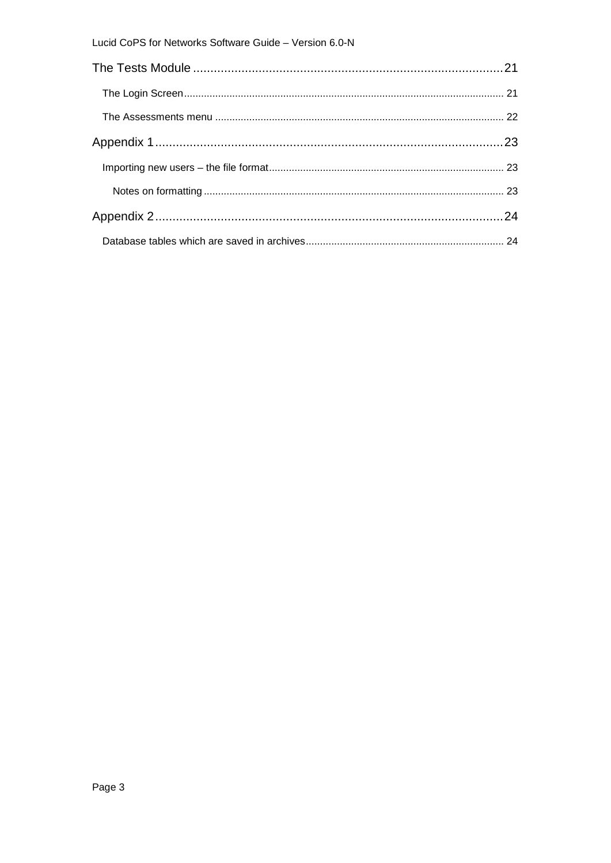#### Lucid CoPS for Networks Software Guide - Version 6.0-N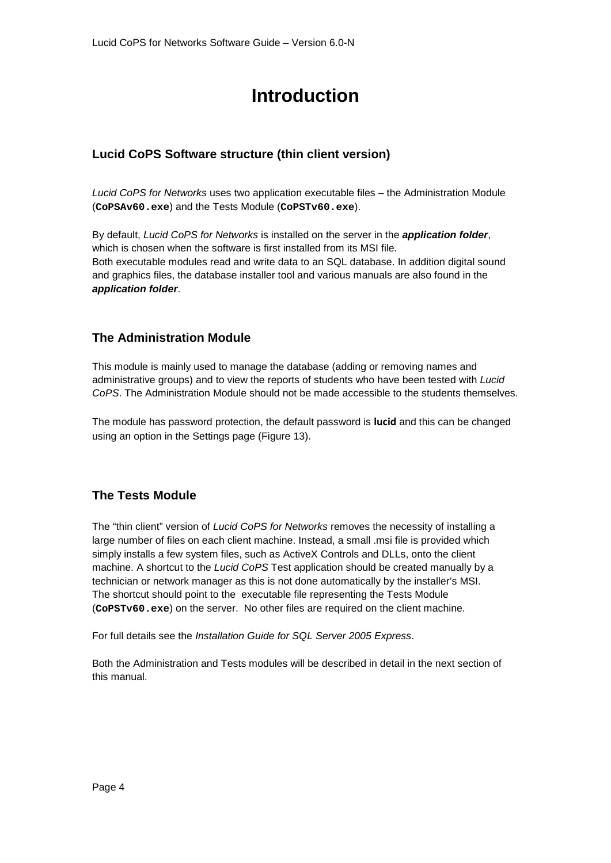## **Introduction**

## <span id="page-3-1"></span><span id="page-3-0"></span>**Lucid CoPS Software structure (thin client version)**

*Lucid CoPS for Networks* uses two application executable files – the Administration Module (**CoPSAv60.exe**) and the Tests Module (**CoPSTv60.exe**).

By default, *Lucid CoPS for Networks* is installed on the server in the *application folder*, which is chosen when the software is first installed from its MSI file. Both executable modules read and write data to an SQL database. In addition digital sound and graphics files, the database installer tool and various manuals are also found in the *application folder*.

## <span id="page-3-2"></span>**The Administration Module**

This module is mainly used to manage the database (adding or removing names and administrative groups) and to view the reports of students who have been tested with *Lucid CoPS*. The Administration Module should not be made accessible to the students themselves.

The module has password protection, the default password is **lucid** and this can be changed using an option in the Settings page (Figure 13).

## <span id="page-3-3"></span>**The Tests Module**

The "thin client" version of *Lucid CoPS for Networks* removes the necessity of installing a large number of files on each client machine. Instead, a small .msi file is provided which simply installs a few system files, such as ActiveX Controls and DLLs, onto the client machine. A shortcut to the *Lucid CoPS* Test application should be created manually by a technician or network manager as this is not done automatically by the installer's MSI. The shortcut should point to the executable file representing the Tests Module (**CoPSTv60.exe**) on the server. No other files are required on the client machine.

For full details see the *Installation Guide for SQL Server 2005 Express*.

Both the Administration and Tests modules will be described in detail in the next section of this manual.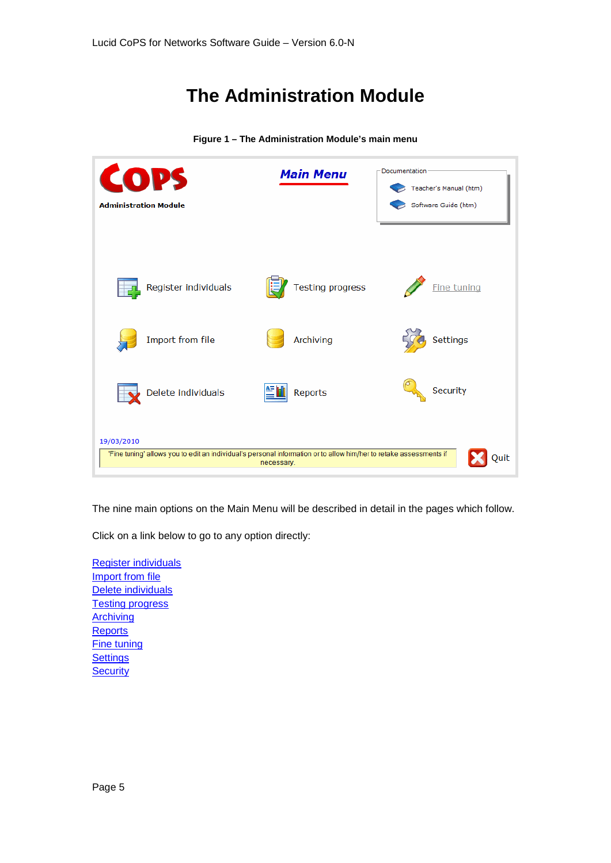## **The Administration Module**

<span id="page-4-0"></span>

**Figure 1 – The Administration Module's main menu**

The nine main options on the Main Menu will be described in detail in the pages which follow.

Click on a link below to go to any option directly:

[Register individuals](#page-5-0) [Import from file](#page-6-0) [Delete individuals](#page-8-0) [Testing progress](#page-9-0) **[Archiving](#page-10-0) [Reports](#page-12-0)** [Fine tuning](#page-16-0) **[Settings](#page-17-0) [Security](#page-18-0)**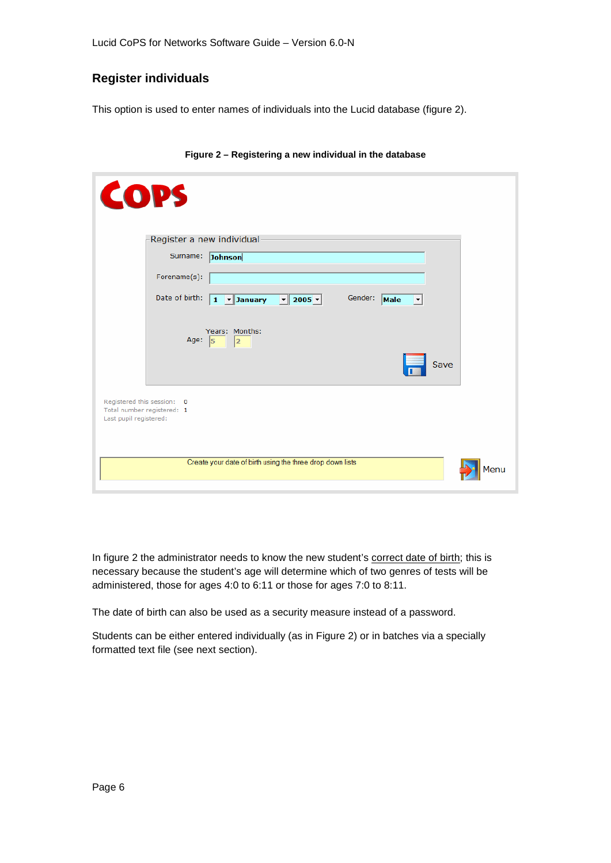### <span id="page-5-0"></span>**Register individuals**

This option is used to enter names of individuals into the Lucid database (figure 2).

| <b>COPS</b>                                                                        |                                        |                                                           |                 |                      |  |
|------------------------------------------------------------------------------------|----------------------------------------|-----------------------------------------------------------|-----------------|----------------------|--|
|                                                                                    | Register a new individual              |                                                           |                 |                      |  |
|                                                                                    | Surname: Johnson                       |                                                           |                 |                      |  |
|                                                                                    | Forename(s):                           |                                                           |                 |                      |  |
|                                                                                    | Date of birth:                         | 1 v January v 2005 v                                      | Gender:<br>Male | $\blacktriangledown$ |  |
|                                                                                    | Years: Months:<br>Age: $\sqrt{5}$<br>2 |                                                           |                 | Save                 |  |
| Registered this session: 0<br>Total number registered: 1<br>Last pupil registered: |                                        |                                                           |                 |                      |  |
|                                                                                    |                                        | Create your date of birth using the three drop down lists |                 | Menu                 |  |

#### **Figure 2 – Registering a new individual in the database**

In figure 2 the administrator needs to know the new student's correct date of birth; this is necessary because the student's age will determine which of two genres of tests will be administered, those for ages 4:0 to 6:11 or those for ages 7:0 to 8:11.

The date of birth can also be used as a security measure instead of a password.

Students can be either entered individually (as in Figure 2) or in batches via a specially formatted text file (see next section).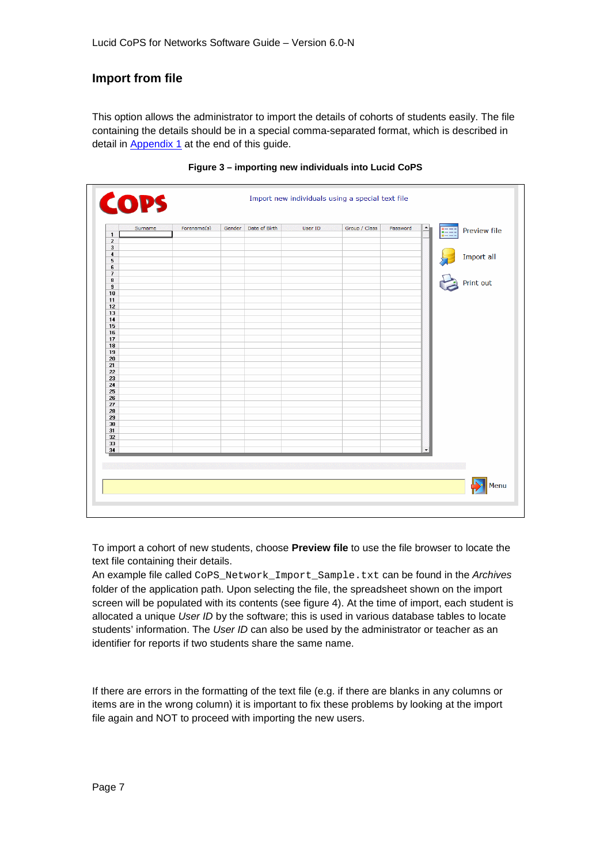## <span id="page-6-0"></span>**Import from file**

This option allows the administrator to import the details of cohorts of students easily. The file containing the details should be in a special comma-separated format, which is described in detail in **Appendix 1** at the end of this guide.

|                                                    | Surname | Forename(s) | Gender Date of Birth | User ID | Group / Class | Password | $\blacktriangle$<br>EE | Preview file |
|----------------------------------------------------|---------|-------------|----------------------|---------|---------------|----------|------------------------|--------------|
| $\mathbf{1}$                                       |         |             |                      |         |               |          |                        |              |
| $\overline{\mathbf{c}}$<br>$\overline{\mathbf{3}}$ |         |             |                      |         |               |          |                        |              |
| $\blacktriangleleft$                               |         |             |                      |         |               |          |                        |              |
| 5                                                  |         |             |                      |         |               |          |                        | Import all   |
| 6                                                  |         |             |                      |         |               |          |                        |              |
| $\overline{\mathcal{F}}$                           |         |             |                      |         |               |          |                        |              |
| $\bf{8}$                                           |         |             |                      |         |               |          |                        | Print out    |
| $\bf{9}$                                           |         |             |                      |         |               |          |                        |              |
| 10                                                 |         |             |                      |         |               |          |                        |              |
| 11                                                 |         |             |                      |         |               |          |                        |              |
| 12                                                 |         |             |                      |         |               |          |                        |              |
| 13                                                 |         |             |                      |         |               |          |                        |              |
| 14                                                 |         |             |                      |         |               |          |                        |              |
| 15                                                 |         |             |                      |         |               |          |                        |              |
| 16<br>17                                           |         |             |                      |         |               |          |                        |              |
| 18                                                 |         |             |                      |         |               |          |                        |              |
| 19                                                 |         |             |                      |         |               |          |                        |              |
| 20                                                 |         |             |                      |         |               |          |                        |              |
| 21                                                 |         |             |                      |         |               |          |                        |              |
| 22                                                 |         |             |                      |         |               |          |                        |              |
| 23                                                 |         |             |                      |         |               |          |                        |              |
| 24                                                 |         |             |                      |         |               |          |                        |              |
| 25                                                 |         |             |                      |         |               |          |                        |              |
| 26                                                 |         |             |                      |         |               |          |                        |              |
| 27                                                 |         |             |                      |         |               |          |                        |              |
| 28                                                 |         |             |                      |         |               |          |                        |              |
| 29                                                 |         |             |                      |         |               |          |                        |              |
| 30                                                 |         |             |                      |         |               |          |                        |              |
| 31                                                 |         |             |                      |         |               |          |                        |              |
| 32                                                 |         |             |                      |         |               |          |                        |              |
| 33                                                 |         |             |                      |         |               |          |                        |              |
| 34                                                 |         |             |                      |         |               |          | $\blacktriangledown$   |              |

#### **Figure 3 – importing new individuals into Lucid CoPS**

To import a cohort of new students, choose **Preview file** to use the file browser to locate the text file containing their details.

An example file called CoPS\_Network\_Import\_Sample.txt can be found in the *Archives* folder of the application path. Upon selecting the file, the spreadsheet shown on the import screen will be populated with its contents (see figure 4). At the time of import, each student is allocated a unique *User ID* by the software; this is used in various database tables to locate students' information. The *User ID* can also be used by the administrator or teacher as an identifier for reports if two students share the same name.

If there are errors in the formatting of the text file (e.g. if there are blanks in any columns or items are in the wrong column) it is important to fix these problems by looking at the import file again and NOT to proceed with importing the new users.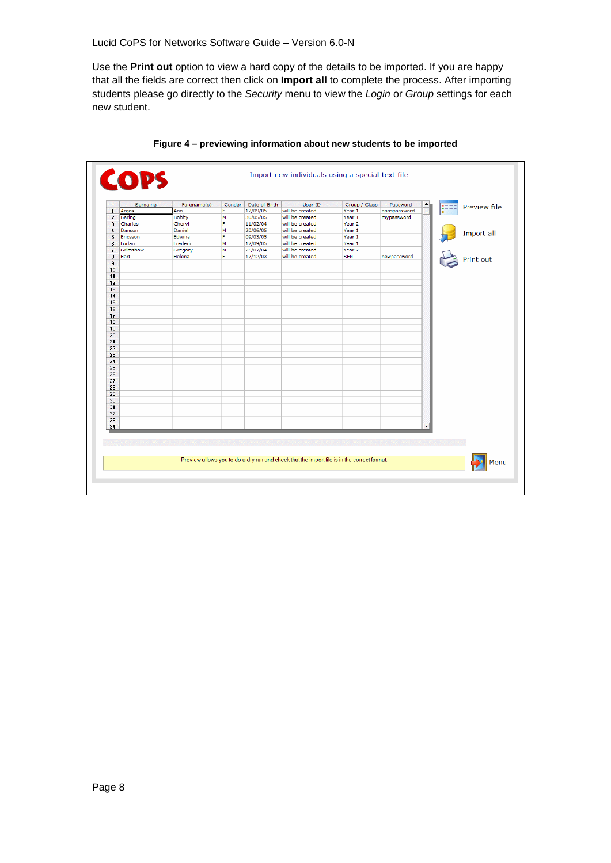Lucid CoPS for Networks Software Guide – Version 6.0-N

Use the **Print out** option to view a hard copy of the details to be imported. If you are happy that all the fields are correct then click on **Import all** to complete the process. After importing students please go directly to the *Security* menu to view the *Login* or *Group* settings for each new student.

|                | Surname  | Forename(s)  | Gender | Date of Birth | User ID         | Group / Class     | Password     | ▲           |                     |
|----------------|----------|--------------|--------|---------------|-----------------|-------------------|--------------|-------------|---------------------|
| $\mathbf{1}$   | Argos    | Ann          | F      | 12/09/05      | will be created | Year 1            | annspassword | <b>HEEE</b> | <b>Preview file</b> |
| $\overline{2}$ | Bering   | <b>Bobby</b> | M      | 30/05/05      | will be created | Year 1            | mypassword   |             |                     |
| 3              | Charles  | Cheryl       | F      | 11/02/04      | will be created | Year <sub>2</sub> |              |             |                     |
| $\overline{4}$ | Danson   | Daniel       | M      | 20/06/05      | will be created | Year 1            |              |             |                     |
| 5              | Ericsson | Edwina       | F      | 09/03/05      | will be created | Year 1            |              |             | Import all          |
| 6              | Forlan   | Frederic     | M      | 12/09/05      | will be created | Year 1            |              |             |                     |
| $\overline{7}$ | Grimshaw | Gregory      | M      | 25/07/04      | will be created | Year <sub>2</sub> |              |             |                     |
| 8              | Hart     | Helena       | F      | 17/12/03      | will be created | <b>SEN</b>        | newpassword  |             | Print out           |
| $\overline{9}$ |          |              |        |               |                 |                   |              |             |                     |
| 10             |          |              |        |               |                 |                   |              |             |                     |
| 11             |          |              |        |               |                 |                   |              |             |                     |
| 12             |          |              |        |               |                 |                   |              |             |                     |
| 13             |          |              |        |               |                 |                   |              |             |                     |
| 14             |          |              |        |               |                 |                   |              |             |                     |
| 15             |          |              |        |               |                 |                   |              |             |                     |
| 16             |          |              |        |               |                 |                   |              |             |                     |
| 17             |          |              |        |               |                 |                   |              |             |                     |
| 18             |          |              |        |               |                 |                   |              |             |                     |
| 19             |          |              |        |               |                 |                   |              |             |                     |
| 20             |          |              |        |               |                 |                   |              |             |                     |
| 21             |          |              |        |               |                 |                   |              |             |                     |
| 22             |          |              |        |               |                 |                   |              |             |                     |
| 23             |          |              |        |               |                 |                   |              |             |                     |
| 24             |          |              |        |               |                 |                   |              |             |                     |
| 25<br>26       |          |              |        |               |                 |                   |              |             |                     |
| 27             |          |              |        |               |                 |                   |              |             |                     |
| 28             |          |              |        |               |                 |                   |              |             |                     |
| 29             |          |              |        |               |                 |                   |              |             |                     |
| 30             |          |              |        |               |                 |                   |              |             |                     |
| 31             |          |              |        |               |                 |                   |              |             |                     |
| 32             |          |              |        |               |                 |                   |              |             |                     |
| 33             |          |              |        |               |                 |                   |              |             |                     |
| 34             |          |              |        |               |                 |                   |              |             |                     |
|                |          |              |        |               |                 |                   |              |             |                     |
|                |          |              |        |               |                 |                   |              |             |                     |
|                |          |              |        |               |                 |                   |              |             |                     |
|                |          |              |        |               |                 |                   |              |             |                     |

**Figure 4 – previewing information about new students to be imported**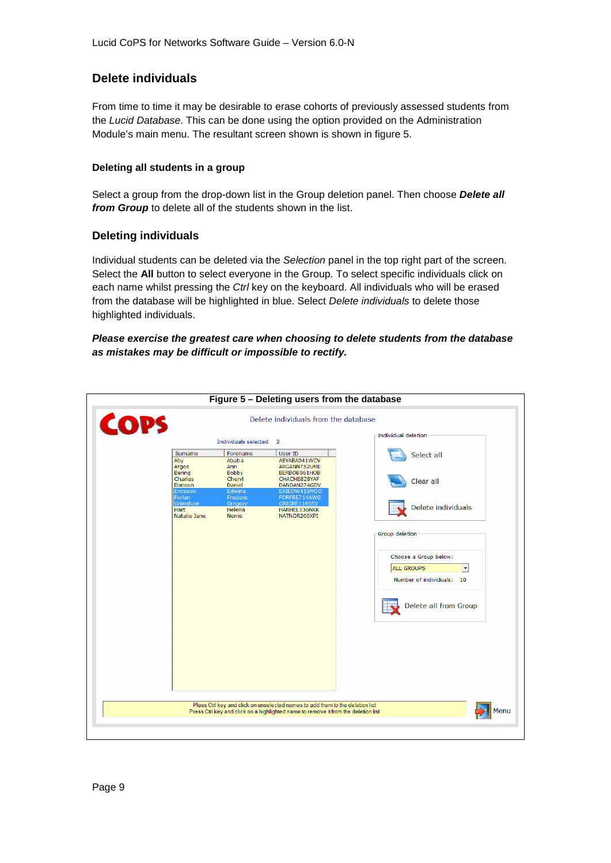## <span id="page-8-0"></span>**Delete individuals**

From time to time it may be desirable to erase cohorts of previously assessed students from the *Lucid Database*. This can be done using the option provided on the Administration Module's main menu. The resultant screen shown is shown in figure 5.

#### <span id="page-8-1"></span>**Deleting all students in a group**

Select a group from the drop-down list in the Group deletion panel. Then choose *Delete all from Group* to delete all of the students shown in the list.

#### **Deleting individuals**

Individual students can be deleted via the *Selection* panel in the top right part of the screen. Select the **All** button to select everyone in the Group. To select specific individuals click on each name whilst pressing the *Ctrl* key on the keyboard. All individuals who will be erased from the database will be highlighted in blue. Select *Delete individuals* to delete those highlighted individuals.

#### *Please exercise the greatest care when choosing to delete students from the database as mistakes may be difficult or impossible to rectify.*

|      |                                         |                                                |                                                                                                                                                                     | Figure 5 - Deleting users from the database                                              |
|------|-----------------------------------------|------------------------------------------------|---------------------------------------------------------------------------------------------------------------------------------------------------------------------|------------------------------------------------------------------------------------------|
| COPS |                                         |                                                | Delete individuals from the database                                                                                                                                |                                                                                          |
|      |                                         | Individuals selected 3                         |                                                                                                                                                                     | Individual deletion                                                                      |
|      | Surname<br>Aby<br>Argos<br>Bering       | Forename<br>Ababa<br>Ann<br><b>Bobby</b>       | User ID<br>ABYABA041WCV<br>ARGANN752UME<br>BERBOB061HOB                                                                                                             | Select all                                                                               |
|      | Charles<br>Danson<br>Ericsson<br>Forlan | Cheryl<br>Daniel<br>Edwina                     | CHACHE828YAF<br>DANDAN274GDV<br>ERIEDW418MQO                                                                                                                        | Clear all                                                                                |
|      | Grimshaw<br>Hart<br>Natalie Jane        | Frederic<br>Gregory<br>Helena<br><b>Norris</b> | FORFRE714AWG<br>GRIGRE116SSV<br>HARHEL536NKK<br>NATNOR266XPI                                                                                                        | Delete individuals                                                                       |
|      |                                         |                                                |                                                                                                                                                                     | Group deletion                                                                           |
|      |                                         |                                                |                                                                                                                                                                     | Choose a Group below:<br>ALL GROUPS<br>$\blacktriangledown$<br>Number of individuals: 10 |
|      |                                         |                                                |                                                                                                                                                                     | Delete all from Group                                                                    |
|      |                                         |                                                |                                                                                                                                                                     |                                                                                          |
|      |                                         |                                                |                                                                                                                                                                     |                                                                                          |
|      |                                         |                                                |                                                                                                                                                                     |                                                                                          |
|      |                                         |                                                | Pless Ctrl key and click on unselected names to add them to the deletion list<br>Press Ctrl key and click on a highlighted name to remove it from the deletion list | Menu                                                                                     |
|      |                                         |                                                |                                                                                                                                                                     |                                                                                          |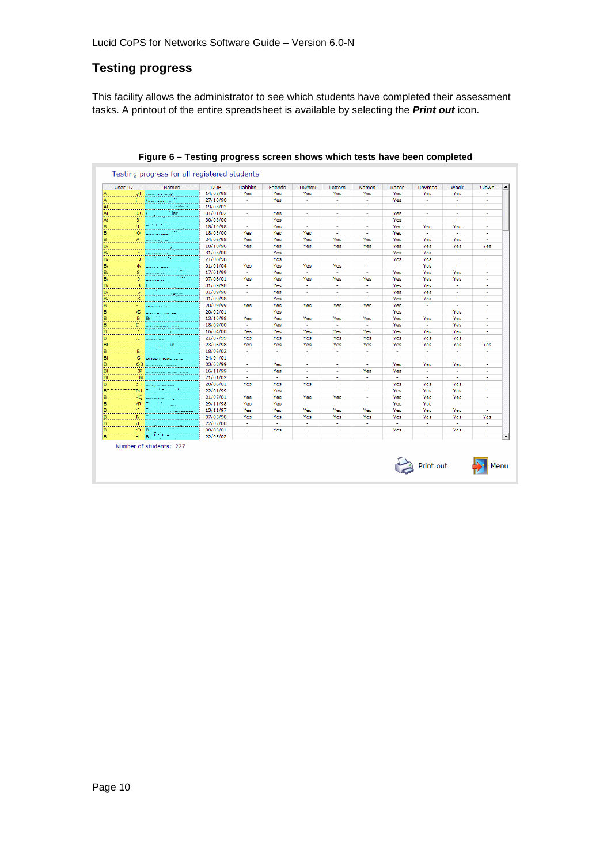## <span id="page-9-0"></span>**Testing progress**

This facility allows the administrator to see which students have completed their assessment tasks. A printout of the entire spreadsheet is available by selecting the *Print out* icon.

|    | User ID     | <b>Names</b>                      | <b>DOB</b> | <b>Rabbits</b> | Friends                     | Toybox                      | Letters      | <b>Names</b>   | Races  | Rhymes | Wock                        | Clown                       |
|----|-------------|-----------------------------------|------------|----------------|-----------------------------|-----------------------------|--------------|----------------|--------|--------|-----------------------------|-----------------------------|
| A  |             | $2T$ , and a set of $2T$          | 14/03/98   | Yes            | Yes                         | Yes                         | Yes          | Yes            | Yes    | Yes    | Yes                         |                             |
|    |             | 11 <del>.</del>                   | 27/10/98   | $\sim$         | Yes                         | $\mathcal{L}_{\mathcal{A}}$ | $\sim$       | a.             | Yes    | $\sim$ | $\mathcal{L}_{\mathcal{A}}$ | $\sim$                      |
|    | г           | communication of the above        | 19/03/02   | ÷.             | $\omega$                    | $\mathbf{r}$                | $\mathbf{r}$ | $\mathbf{r}$   | $\sim$ | $\sim$ | $\alpha$                    | $\sim$                      |
| AI | <b>JCIA</b> | ler                               | 01/01/02   | $\sim$         | Yes                         | a.                          | $\sim$       | $\sim$         | Yes    | $\sim$ | $\sim$                      | $\sim$                      |
| A: | з.          |                                   | 30/03/00   | ×.             | Yes                         | $\sim$                      | ÷            | ×.             | Yes    | $\sim$ | $\sim$                      | $\sim$                      |
| B. | 9.1         | 5 - 1 - 1<br>-----                | 15/10/98   | ×.             | Yes                         | ×.                          | ٠            | ٠              | Yes    | Yes    | Yes                         | $\mathbf{r}$                |
| B. | Q           | 1.11111<br>الموسد استنبطت         | 18/08/00   | Yes            | Yes                         | Yes                         | ×.           | ÷              | Yes    | ×.     | a.                          | ×.                          |
| B. | A           | المداوست المتم                    | 24/06/98   | Yes            | Yes                         | Yes                         | Yes          | Yes            | Yes    | Yes    | Yes                         | ×.                          |
| Bi | ¥.          | $\overline{B}$ and $\overline{B}$ | 18/10/96   | Yes            | Yes                         | Yes                         | Yes          | Yes            | Yes    | Yes    | Yes                         | Yes                         |
| Bi |             | E Judition on                     | 31/05/00   | ×.             | Yes                         | $\sim$                      | $\mathbf{r}$ | $\sim$         | Yes    | Yes    | $\sim$                      | $\sim$                      |
| B, | D.          | بالمحدد بمديمة أ                  | 21/08/98   | $\sim$         | Yes                         | $\sim$                      | $\sim$       | $\sim$         | Yes    | Yes    | $\sim$                      | $\sim$                      |
| Bi |             | $2N$ $2N$                         | 01/01/04   | Yes            | Yes                         | Yes                         | Yes          | $\sim$         | $\sim$ | Yes    | $\sim$                      | $\sim$                      |
| B, |             | $1 - 11$<br><b>S</b>  ________    | 17/01/99   | ×.             | Yes                         | ¥.                          | ×.           | $\blacksquare$ | Yes    | Yes    | Yes                         |                             |
| B/ |             | .<br>$2$ $1 - 1$                  | 07/06/01   | Yes            | Yes                         | Yes                         | Yes          | Yes            | Yes    | Yes    | Yes                         | $\sim$                      |
| B) | s ir        |                                   | 01/09/98   | $\sim$         | Yes                         | ÷                           | $\sim$       | $\sim$         | Yes    | Yes    | $\sim$                      | $\sim$                      |
| B/ | s.          | <b><i><u>ABOUT</u></i></b>        | 01/09/98   | $\sim$         | Yes                         | ×.                          | $\sim$       | ÷.             | Yes    | Yes    | $\sim$                      | ÷.                          |
| В. | LS.         | $\mathcal{L}^{\mathcal{L}}$ .     | 01/09/98   | ×.             | Yes                         | ×.                          | ×.           | ÷.             | Yes    | Yes    | $\sim$                      | $\sim$                      |
| в  | 3.          | <b>Louisia</b> de                 | 20/09/99   | Yes            | Yes                         | Yes                         | Yes          | Yes            | Yes    | ×.     | $\sim$                      | $\sim$                      |
| B. |             | JD   _ _ _ _ _ _ _ _ _ _          | 20/02/01   | ×.             | Yes                         | ×.                          | ×.           | ×.             | Yes    | ×.     | Yes                         | ×.                          |
| B  | B Be        |                                   | 13/10/98   | Yes            | Yes                         | Yes                         | Yes          | Yes            | Yes    | Yes    | Yes                         | ×.                          |
| в  |             | D. London com-                    | 18/09/00   | ×.             | Yes                         | ×.                          | ×.           | ×.             | Yes    | ÷.     | Yes                         | $\mathbf{r}$                |
| BI | 4           | ministra                          | 16/04/00   | Yes            | Yes                         | Yes                         | Yes          | Yes            | Yes    | Yes    | Yes                         | $\sim$                      |
| B  |             | E <b>Chamber 1999</b>             | 21/07/99   | Yes            | Yes                         | Yes                         | Yes          | Yes            | Yes    | Yes    | Yes                         | ÷.                          |
| BC |             | 22.2212222116                     | 23/06/98   | Yes            | Yes                         | Yes                         | Yes          | Yes            | Yes    | Yes    | Yes                         | Yes                         |
| B. | B.          |                                   | 18/06/02   | $\sim$         | $\sim$                      | $\sim$                      | a.           | a.             | $\sim$ | $\sim$ | $\mathcal{L}_{\mathcal{A}}$ | $\sim$                      |
| BI |             | G   Linco / Homelical L           | 24/04/01   | $\sim$         | $\sim$                      | a.                          | $\mathbf{r}$ | ÷.             | $\sim$ | $\sim$ | $\sim$                      | ÷.                          |
| B  |             |                                   | 03/08/99   | ÷              | Yes                         | $\sim$                      | $\sim$       | $\sim$         | Yes    | Yes    | Yes                         | $\sim$                      |
| BF |             | ZP   _ _ _ _ _ _ _ _ _ _ _ _ _    | 16/11/99   | $\sim$         | Yes                         | $\sim$                      | ٠            | Yes            | Yes    | $\sim$ | $\mathbf{r}$                | $\sim$                      |
| BI |             | $UA$ $- - - - - - -$              | 21/01/02   | ×.             | $\sim$                      | ÷.                          | ×.           | ×.             | $\sim$ | ×.     | $\sim$                      | ×,                          |
| в  |             | ZH (Urugu Labad                   | 28/06/01   | Yes            | Yes                         | Yes                         | ÷            | ×.             | Yes    | Yes    | Yes                         | $\mathbf{r}$                |
| BT | PU          |                                   | 22/01/99   | ×.             | Yes                         | ×.                          | ×.           | ×.             | Yes    | Yes    | Yes                         | ×.                          |
| в  |             |                                   | 21/05/01   | Yes            | Yes                         | Yes                         | Yes          | ×.             | Yes    | Yes    | Yes                         | ×.                          |
| B  | /R          |                                   | 29/11/98   | Yes            | Yes                         | ÷.                          | ÷.           | ×.             | Yes    | Yes    | a.                          | ×.                          |
| B  | F.          | <b><i>Commenced</i></b>           | 13/11/97   | Yes            | Yes                         | Yes                         | Yes          | Yes            | Yes    | Yes    | Yes                         | $\mathbf{r}$                |
| B  | N.          |                                   | 07/03/98   | Yes            | Yes                         | Yes                         | Yes          | Yes            | Yes    | Yes    | Yes                         | Yes                         |
| в  | J.          |                                   | 22/02/00   | $\sim$         | $\mathcal{L}_{\mathcal{A}}$ | $\sim$                      | $\sim$       | $\sim$         | ×.     | $\sim$ | $\mathcal{L}_{\mathcal{A}}$ | $\sim$                      |
| в  | ю ів        |                                   | 08/03/01   | $\sim$         | Yes                         | a.                          | $\sim$       | $\sim$         | Yes    | $\sim$ | Yes                         | $\mathcal{L}^{\mathcal{A}}$ |
| B  | + iB        |                                   | 22/05/02   | à.             | $\mathcal{L}^{\mathcal{A}}$ | $\sim$                      | $\sim$       | a.             | $\sim$ | $\sim$ | $\sim$                      | $\sim$                      |

**Figure 6 – Testing progress screen shows which tests have been completed**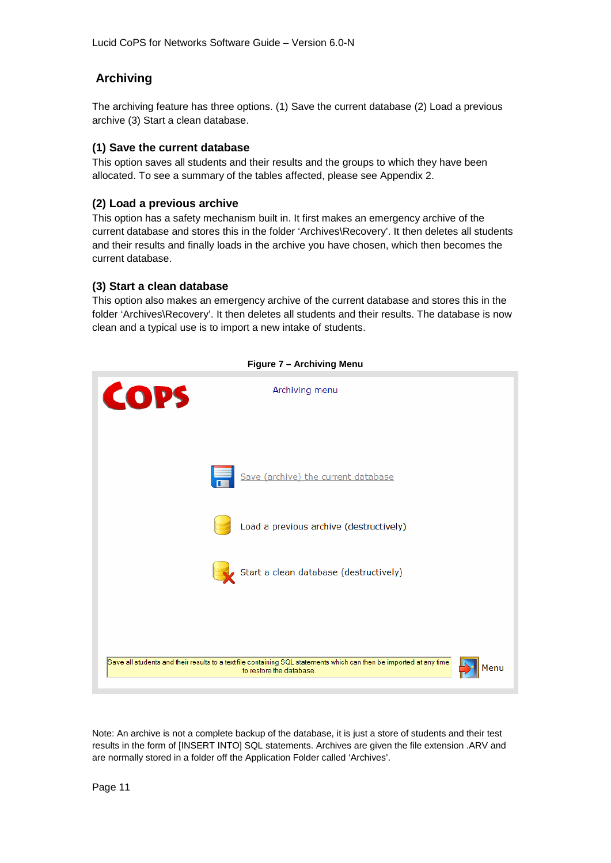## <span id="page-10-0"></span>**Archiving**

The archiving feature has three options. (1) Save the current database (2) Load a previous archive (3) Start a clean database.

### **(1) Save the current database**

This option saves all students and their results and the groups to which they have been allocated. To see a summary of the tables affected, please see Appendix 2.

### **(2) Load a previous archive**

This option has a safety mechanism built in. It first makes an emergency archive of the current database and stores this in the folder 'Archives\Recovery'. It then deletes all students and their results and finally loads in the archive you have chosen, which then becomes the current database.

### **(3) Start a clean database**

This option also makes an emergency archive of the current database and stores this in the folder 'Archives\Recovery'. It then deletes all students and their results. The database is now clean and a typical use is to import a new intake of students.



#### **Figure 7 – Archiving Menu**

Note: An archive is not a complete backup of the database, it is just a store of students and their test results in the form of [INSERT INTO] SQL statements. Archives are given the file extension .ARV and are normally stored in a folder off the Application Folder called 'Archives'.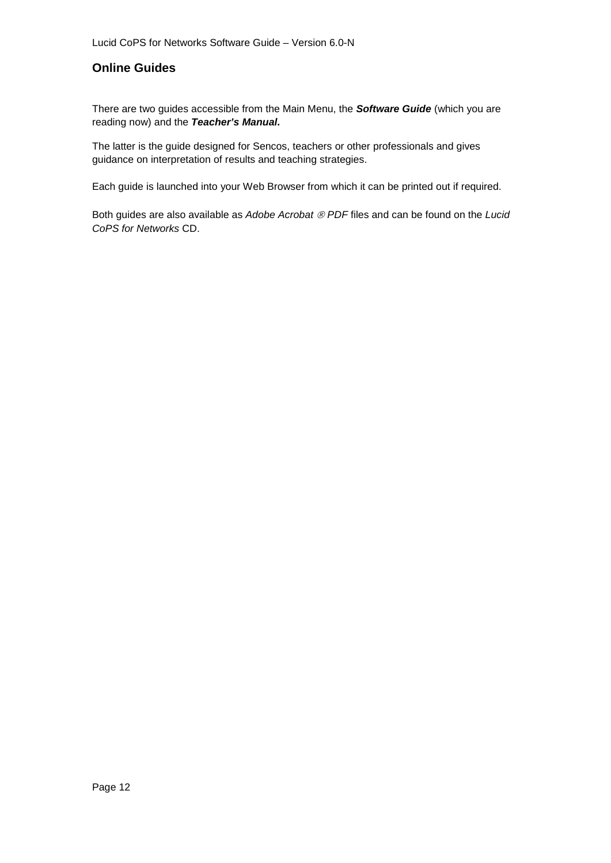## <span id="page-11-0"></span>**Online Guides**

There are two guides accessible from the Main Menu, the *Software Guide* (which you are reading now) and the *Teacher's Manual.*

The latter is the guide designed for Sencos, teachers or other professionals and gives guidance on interpretation of results and teaching strategies.

Each guide is launched into your Web Browser from which it can be printed out if required.

Both guides are also available as *Adobe Acrobat PDF* files and can be found on the *Lucid CoPS for Networks* CD.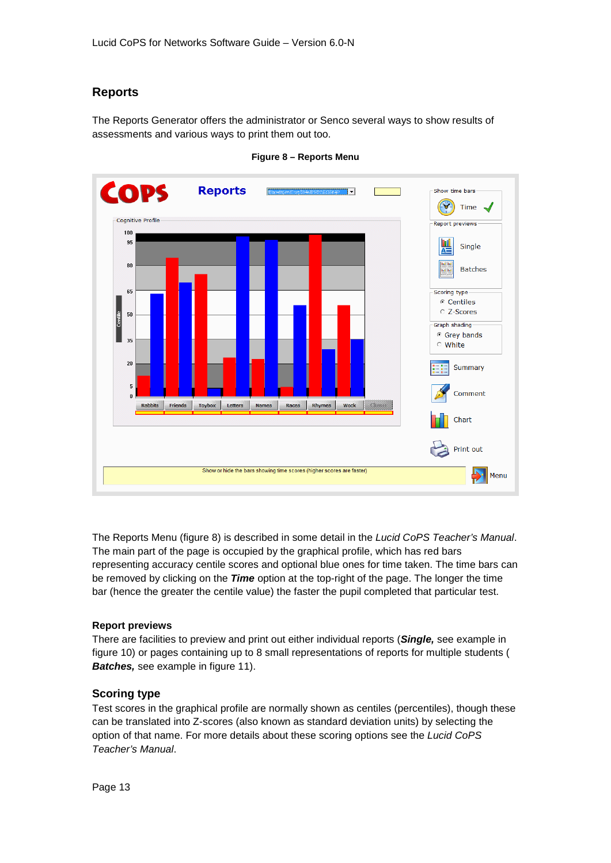## <span id="page-12-0"></span>**Reports**

The Reports Generator offers the administrator or Senco several ways to show results of assessments and various ways to print them out too.



**Figure 8 – Reports Menu**

The Reports Menu (figure 8) is described in some detail in the *Lucid CoPS Teacher's Manual*. The main part of the page is occupied by the graphical profile, which has red bars representing accuracy centile scores and optional blue ones for time taken. The time bars can be removed by clicking on the *Time* option at the top-right of the page. The longer the time bar (hence the greater the centile value) the faster the pupil completed that particular test.

#### <span id="page-12-1"></span>**Report previews**

There are facilities to preview and print out either individual reports (*Single,* see example in figure 10) or pages containing up to 8 small representations of reports for multiple students ( *Batches,* see example in figure 11).

#### **Scoring type**

Test scores in the graphical profile are normally shown as centiles (percentiles), though these can be translated into Z-scores (also known as standard deviation units) by selecting the option of that name. For more details about these scoring options see the *Lucid CoPS Teacher's Manual*.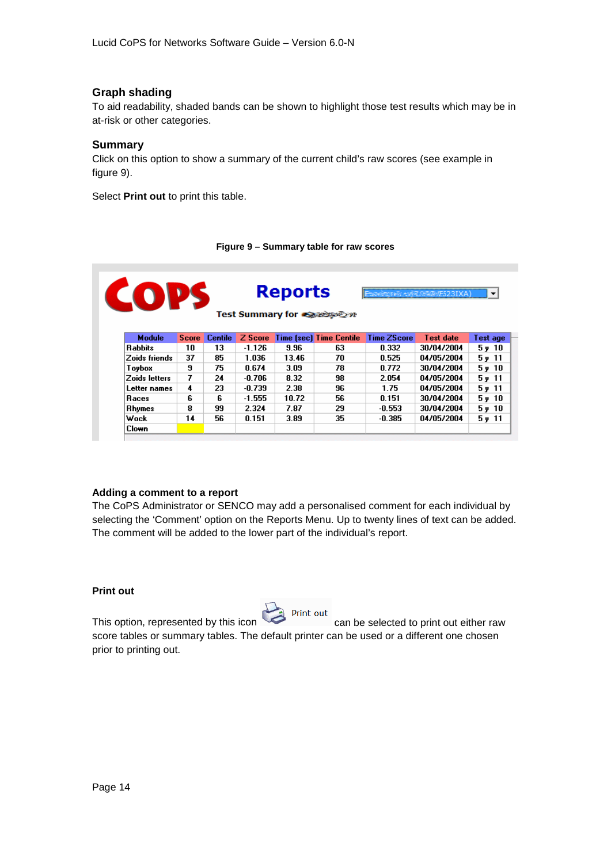#### <span id="page-13-0"></span>**Graph shading**

To aid readability, shaded bands can be shown to highlight those test results which may be in at-risk or other categories.

#### <span id="page-13-1"></span>**Summary**

Click on this option to show a summary of the current child's raw scores (see example in figure 9).

Select **Print out** to print this table.

#### **Figure 9 – Summary table for raw scores**

| <b>COPS</b><br><b>Reports</b><br>as west to The September 2010 A<br>Test Summary for exercise on |              |                |          |       |                                |             |            | $\blacktriangledown$ |
|--------------------------------------------------------------------------------------------------|--------------|----------------|----------|-------|--------------------------------|-------------|------------|----------------------|
| <b>Module</b>                                                                                    | <b>Score</b> | <b>Centile</b> | Z Score  |       | <b>Time (sec) Time Centile</b> | Time ZScore | Test date  | Test age             |
| Rabbits                                                                                          | 10           | 13.            | -1.126   | 9.96  | 63                             | 0.332       | 30/04/2004 | 5v10                 |
| Zoids friends                                                                                    | 37           | 85             | 1.036    | 13.46 | 70                             | 0.525       | 04/05/2004 | 5, 11                |
| Toybox                                                                                           | 9            | 75.            | 0.674    | 3.09  | 78                             | 0.772       | 30/04/2004 | 5v10                 |
| Zoids letters                                                                                    | 7            | 24             | -0.706   | 8.32  | 98                             | 2.054       | 04/05/2004 | 5, 11                |
| Letter names                                                                                     | 4            | 23             | $-0.739$ | 2.38  | 96                             | 1.75        | 04/05/2004 | 5y11                 |
| <b>Races</b>                                                                                     | 6            | 6              | $-1.555$ | 10.72 | 56                             | 0.151       | 30/04/2004 | $5 \nu 10$           |
| Rhymes                                                                                           | 8            | 99             | 2.324    | 7.87  | 29                             | $-0.553$    | 30/04/2004 | 5v10                 |
| Wock                                                                                             | 14           | 56.            | 0.151    | 3.89  | 35                             | -0.385      | 04/05/2004 | 5y 11                |
| Clown                                                                                            |              |                |          |       |                                |             |            |                      |

#### <span id="page-13-2"></span>**Adding a comment to a report**

The CoPS Administrator or SENCO may add a personalised comment for each individual by selecting the 'Comment' option on the Reports Menu. Up to twenty lines of text can be added. The comment will be added to the lower part of the individual's report.

#### <span id="page-13-3"></span>**Print out**



This option, represented by this icon can be selected to print out either raw score tables or summary tables. The default printer can be used or a different one chosen prior to printing out.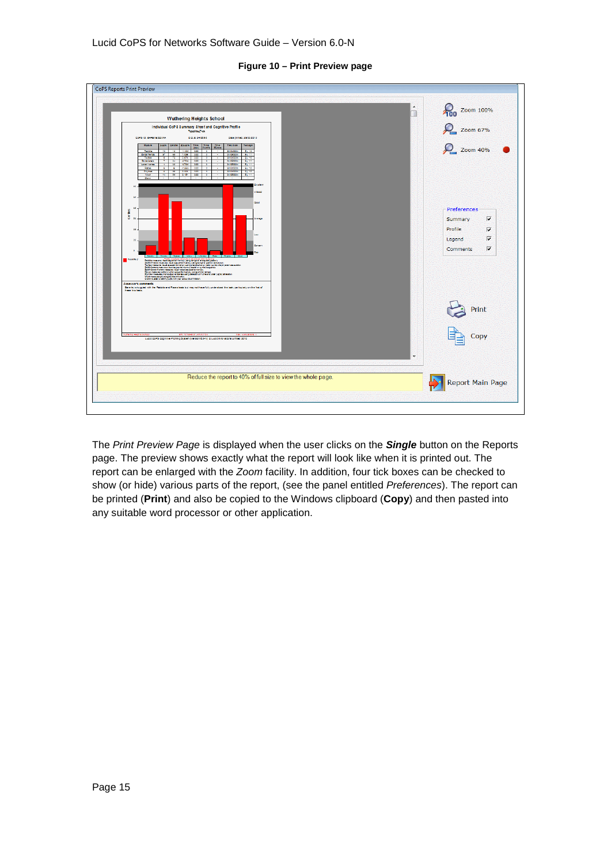

#### **Figure 10 – Print Preview page**

The *Print Preview Page* is displayed when the user clicks on the *Single* button on the Reports page. The preview shows exactly what the report will look like when it is printed out. The report can be enlarged with the *Zoom* facility. In addition, four tick boxes can be checked to show (or hide) various parts of the report, (see the panel entitled *Preferences*). The report can be printed (**Print**) and also be copied to the Windows clipboard (**Copy**) and then pasted into any suitable word processor or other application.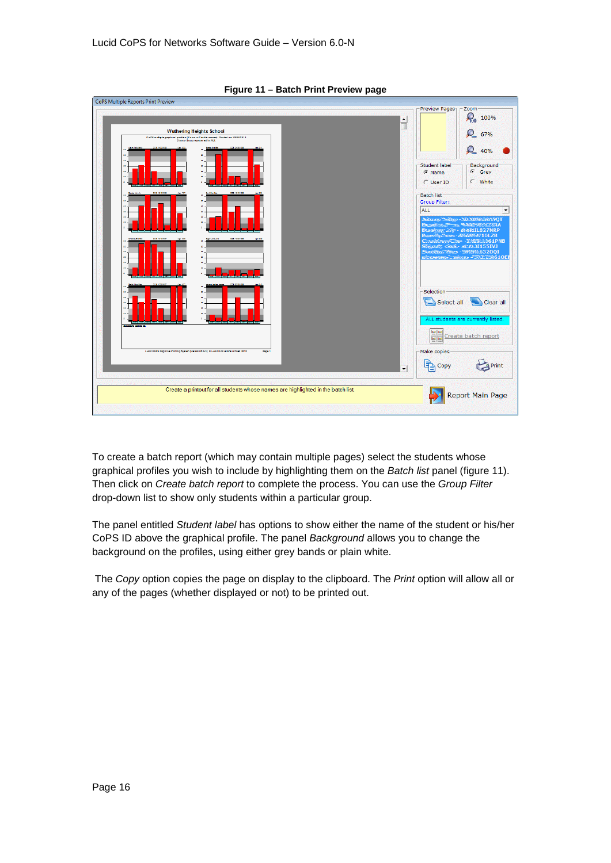

**Figure 11 – Batch Print Preview page**

To create a batch report (which may contain multiple pages) select the students whose graphical profiles you wish to include by highlighting them on the *Batch list* panel (figure 11). Then click on *Create batch report* to complete the process. You can use the *Group Filter* drop-down list to show only students within a particular group.

The panel entitled *Student label* has options to show either the name of the student or his/her CoPS ID above the graphical profile. The panel *Background* allows you to change the background on the profiles, using either grey bands or plain white.

The *Copy* option copies the page on display to the clipboard. The *Print* option will allow all or any of the pages (whether displayed or not) to be printed out.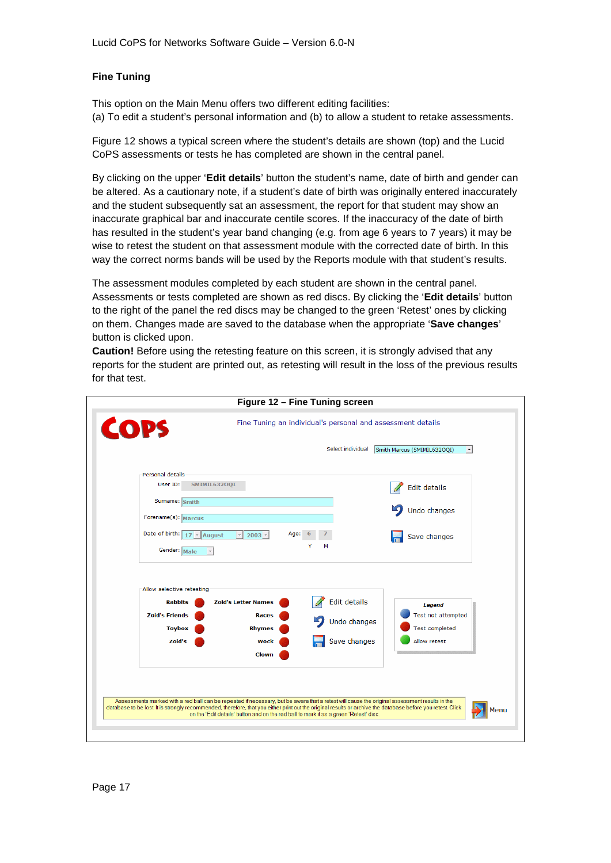### <span id="page-16-0"></span>**Fine Tuning**

This option on the Main Menu offers two different editing facilities: (a) To edit a student's personal information and (b) to allow a student to retake assessments.

Figure 12 shows a typical screen where the student's details are shown (top) and the Lucid CoPS assessments or tests he has completed are shown in the central panel.

By clicking on the upper '**Edit details**' button the student's name, date of birth and gender can be altered. As a cautionary note, if a student's date of birth was originally entered inaccurately and the student subsequently sat an assessment, the report for that student may show an inaccurate graphical bar and inaccurate centile scores. If the inaccuracy of the date of birth has resulted in the student's year band changing (e.g. from age 6 years to 7 years) it may be wise to retest the student on that assessment module with the corrected date of birth. In this way the correct norms bands will be used by the Reports module with that student's results.

The assessment modules completed by each student are shown in the central panel. Assessments or tests completed are shown as red discs. By clicking the '**Edit details**' button to the right of the panel the red discs may be changed to the green 'Retest' ones by clicking on them. Changes made are saved to the database when the appropriate '**Save changes**' button is clicked upon.

**Caution!** Before using the retesting feature on this screen, it is strongly advised that any reports for the student are printed out, as retesting will result in the loss of the previous results for that test.

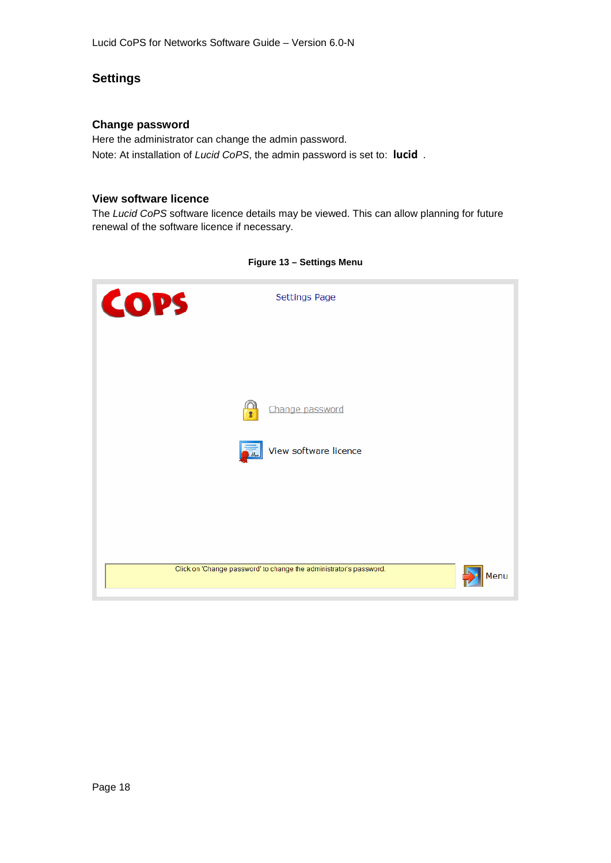## <span id="page-17-0"></span>**Settings**

#### <span id="page-17-1"></span>**Change password**

Here the administrator can change the admin password. Note: At installation of *Lucid CoPS*, the admin password is set to: **lucid** .

#### **View software licence**

The *Lucid CoPS* software licence details may be viewed. This can allow planning for future renewal of the software licence if necessary.



#### **Figure 13 – Settings Menu**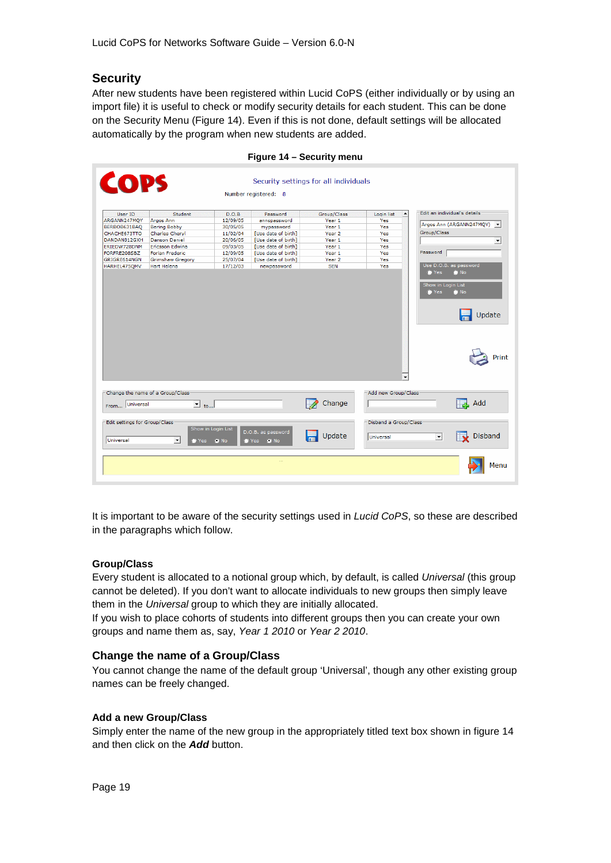## <span id="page-18-0"></span>**Security**

After new students have been registered within Lucid CoPS (either individually or by using an import file) it is useful to check or modify security details for each student. This can be done on the Security Menu (Figure 14). Even if this is not done, default settings will be allocated automatically by the program when new students are added.

| <b>COPS</b>                                |                                       |                                    | Number registered: 8           | Security settings for all individuals |                                       |                                                                       |
|--------------------------------------------|---------------------------------------|------------------------------------|--------------------------------|---------------------------------------|---------------------------------------|-----------------------------------------------------------------------|
| User ID<br>ARGANN247MQY                    | Student<br>Argos Ann                  | D.O.B<br>12/09/05                  | Password<br>annspassword       | Group/Class<br>Year 1                 | Login list<br>$\blacktriangle$<br>Yes | Edit an individual's details                                          |
| BERBOB631BAQ                               | <b>Bering Bobby</b>                   | 30/05/05                           | mypassword                     | Year <sub>1</sub>                     | Yes                                   | Argos Ann (ARGANN247MQY) v                                            |
| CHACHE673TTO                               | Charles Cheryl                        | 11/02/04                           | [Use date of birth]            | Year <sub>2</sub>                     | Yes                                   | Group/Class                                                           |
| DANDAN812GXH                               | <b>Danson Daniel</b>                  | 20/06/05                           | [Use date of birth]            | Year <sub>1</sub>                     | Yes                                   | $\blacktriangledown$                                                  |
| ERIEDW728DNM                               | <b>Ericsson Edwina</b>                | 09/03/05                           | [Use date of birth]            | Year 1                                | Yes                                   |                                                                       |
| FORFRE208SBZ                               | Forlan Frederic                       | 12/09/05                           | [Use date of birth]            | Year 1                                | Yes                                   | Password                                                              |
| GRIGRE614NGN                               | <b>Grimshaw Gregory</b>               | 25/07/04                           | [Use date of birth]            | Year <sub>2</sub>                     | Yes                                   |                                                                       |
| HARHEL475QMV                               | <b>Hart Helena</b>                    | 17/12/03                           | newpassword                    | <b>SEN</b>                            | Yes                                   | Use D.O.B. as password                                                |
|                                            |                                       |                                    |                                |                                       | $\blacktriangledown$                  | Print                                                                 |
|                                            | Change the name of a Group/Class      |                                    |                                | Change                                | Add new Group/Class                   | $\Box$ Add                                                            |
| From Universal                             | $\overline{\phantom{a}}$ to           |                                    |                                |                                       |                                       |                                                                       |
| Edit settings for Group/Class<br>Universal | $\blacktriangledown$<br>$\bullet$ Yes | Show in Login List<br>$\bullet$ No | D.O.B. as password<br>Yes OINo | Update                                | Disband a Group/Class<br>Universal    | <b>Disband</b><br>$\overline{\mathbf{v}}$<br>$\overline{\phantom{a}}$ |
|                                            |                                       |                                    |                                |                                       |                                       |                                                                       |

**Figure 14 – Security menu**

It is important to be aware of the security settings used in *Lucid CoPS*, so these are described in the paragraphs which follow.

#### <span id="page-18-1"></span>**Group/Class**

Every student is allocated to a notional group which, by default, is called *Universal* (this group cannot be deleted). If you don't want to allocate individuals to new groups then simply leave them in the *Universal* group to which they are initially allocated.

If you wish to place cohorts of students into different groups then you can create your own groups and name them as, say, *Year 1 2010* or *Year 2 2010*.

#### <span id="page-18-2"></span>**Change the name of a Group/Class**

You cannot change the name of the default group 'Universal', though any other existing group names can be freely changed.

#### <span id="page-18-3"></span>**Add a new Group/Class**

Simply enter the name of the new group in the appropriately titled text box shown in figure 14 and then click on the *Add* button.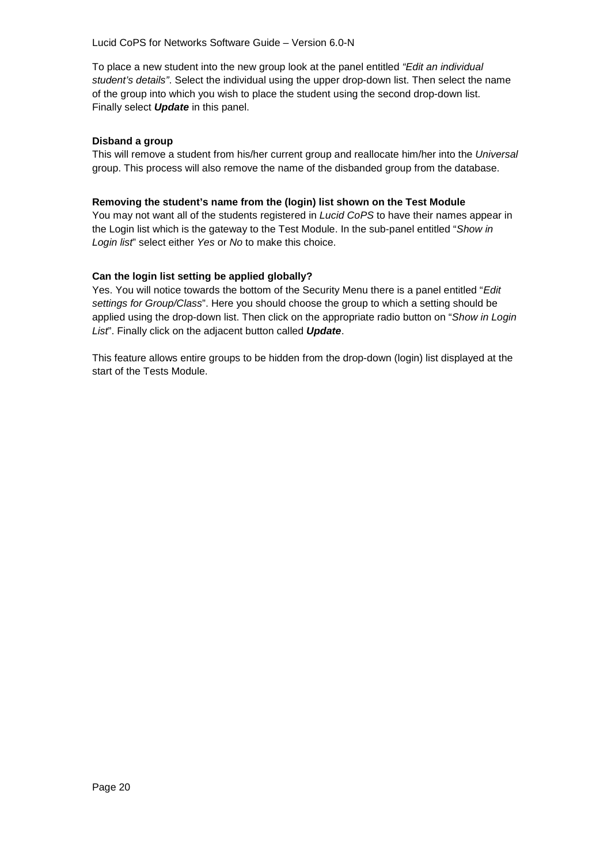Lucid CoPS for Networks Software Guide – Version 6.0-N

To place a new student into the new group look at the panel entitled *"Edit an individual student's details"*. Select the individual using the upper drop-down list. Then select the name of the group into which you wish to place the student using the second drop-down list. Finally select *Update* in this panel.

#### <span id="page-19-0"></span>**Disband a group**

This will remove a student from his/her current group and reallocate him/her into the *Universal* group. This process will also remove the name of the disbanded group from the database.

#### <span id="page-19-1"></span>**Removing the student's name from the (login) list shown on the Test Module**

You may not want all of the students registered in *Lucid CoPS* to have their names appear in the Login list which is the gateway to the Test Module. In the sub-panel entitled "*Show in Login list*" select either *Yes* or *No* to make this choice.

#### <span id="page-19-2"></span>**Can the login list setting be applied globally?**

Yes. You will notice towards the bottom of the Security Menu there is a panel entitled "*Edit settings for Group/Class*". Here you should choose the group to which a setting should be applied using the drop-down list. Then click on the appropriate radio button on "*Show in Login List*". Finally click on the adjacent button called *Update*.

This feature allows entire groups to be hidden from the drop-down (login) list displayed at the start of the Tests Module.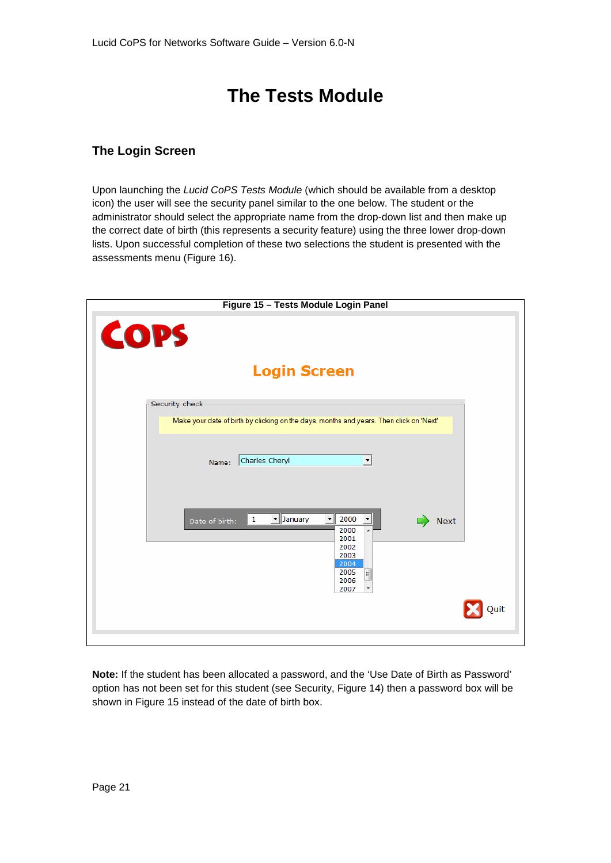## **The Tests Module**

## <span id="page-20-1"></span><span id="page-20-0"></span>**The Login Screen**

Upon launching the *Lucid CoPS Tests Module* (which should be available from a desktop icon) the user will see the security panel similar to the one below. The student or the administrator should select the appropriate name from the drop-down list and then make up the correct date of birth (this represents a security feature) using the three lower drop-down lists. Upon successful completion of these two selections the student is presented with the assessments menu (Figure 16).

| Figure 15 - Tests Module Login Panel                                                                                                                                |
|---------------------------------------------------------------------------------------------------------------------------------------------------------------------|
| <b>COPS</b>                                                                                                                                                         |
| <b>Login Screen</b>                                                                                                                                                 |
| Security check                                                                                                                                                      |
| Make your date of birth by clicking on the days, months and years. Then click on 'Next'                                                                             |
| Charles Cheryl<br>$\blacktriangledown$<br>Name:                                                                                                                     |
| January<br>$\frac{1}{2000}$<br>$\mathbf{1}$<br>즤<br><b>Next</b><br>Date of birth:<br>2000<br>$\blacktriangle$<br>2001<br>2002<br>2003<br>2004<br>2005<br>E.<br>2006 |
| 2007<br>۳<br><b>Quit</b>                                                                                                                                            |

**Note:** If the student has been allocated a password, and the 'Use Date of Birth as Password' option has not been set for this student (see Security, Figure 14) then a password box will be shown in Figure 15 instead of the date of birth box.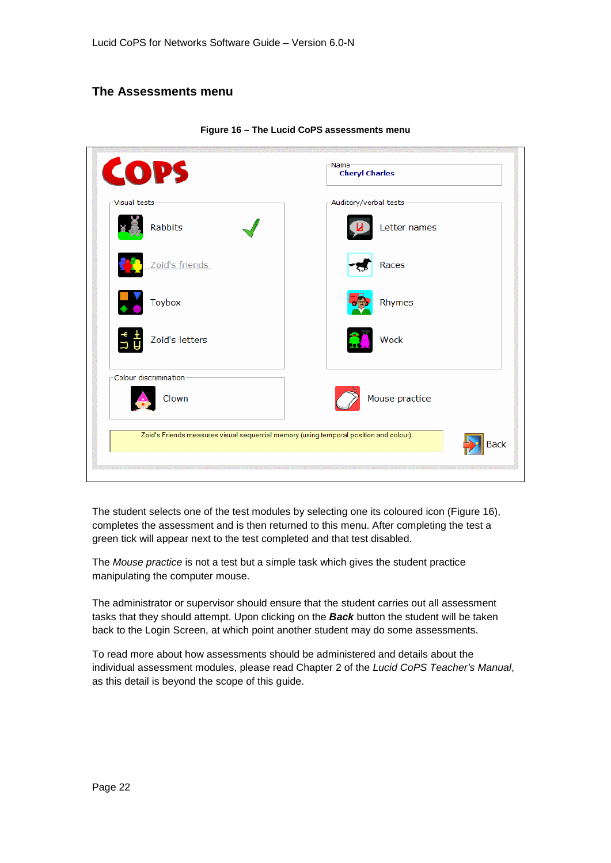## <span id="page-21-0"></span>**The Assessments menu**

| <b>COPS</b>            | <b>Cheryl Charles</b>                                                                          |
|------------------------|------------------------------------------------------------------------------------------------|
| -Visual tests          | -Auditory/verbal tests-                                                                        |
| Rabbits                | Letter names                                                                                   |
| Zoid's friends         | Races                                                                                          |
| <b>Toybox</b>          | Rhymes                                                                                         |
| Zoid's letters         | <b>Wock</b>                                                                                    |
| Colour discrimination- |                                                                                                |
| Clown                  | Mouse practice                                                                                 |
|                        | Zoid's Friends measures visual sequential memory (using temporal position and colour).<br>Back |

**Figure 16 – The Lucid CoPS assessments menu**

The student selects one of the test modules by selecting one its coloured icon (Figure 16), completes the assessment and is then returned to this menu. After completing the test a green tick will appear next to the test completed and that test disabled.

The *Mouse practice* is not a test but a simple task which gives the student practice manipulating the computer mouse.

The administrator or supervisor should ensure that the student carries out all assessment tasks that they should attempt. Upon clicking on the *Back* button the student will be taken back to the Login Screen, at which point another student may do some assessments.

To read more about how assessments should be administered and details about the individual assessment modules, please read Chapter 2 of the *Lucid CoPS Teacher's Manual*, as this detail is beyond the scope of this guide.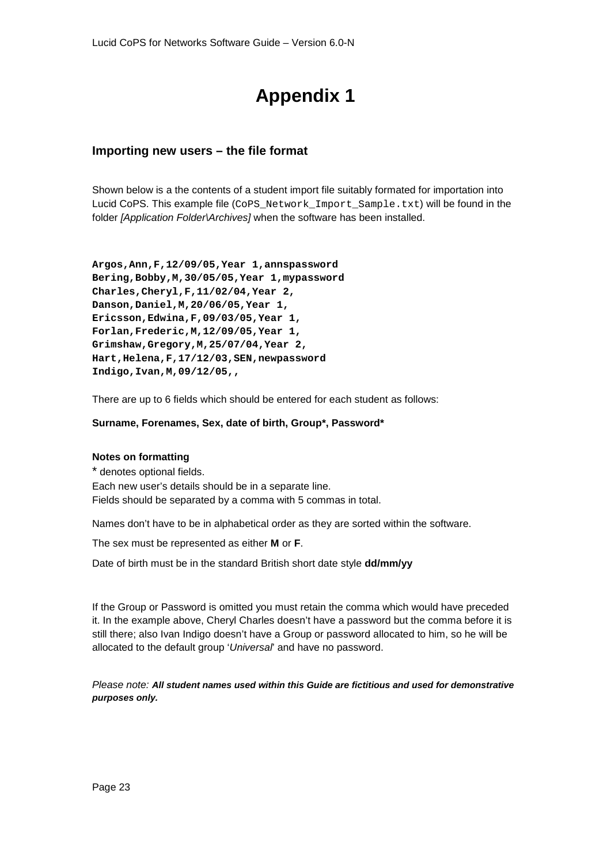## **Appendix 1**

## <span id="page-22-1"></span><span id="page-22-0"></span>**Importing new users – the file format**

Shown below is a the contents of a student import file suitably formated for importation into Lucid CoPS. This example file (CoPS\_Network\_Import\_Sample.txt) will be found in the folder *[Application Folder\Archives]* when the software has been installed.

**Argos,Ann,F,12/09/05,Year 1,annspassword Bering,Bobby,M,30/05/05,Year 1,mypassword Charles,Cheryl,F,11/02/04,Year 2, Danson,Daniel,M,20/06/05,Year 1, Ericsson,Edwina,F,09/03/05,Year 1, Forlan,Frederic,M,12/09/05,Year 1, Grimshaw,Gregory,M,25/07/04,Year 2, Hart,Helena,F,17/12/03,SEN,newpassword Indigo,Ivan,M,09/12/05,,**

There are up to 6 fields which should be entered for each student as follows:

#### **Surname, Forenames, Sex, date of birth, Group\*, Password\***

#### <span id="page-22-2"></span>**Notes on formatting**

\* denotes optional fields. Each new user's details should be in a separate line. Fields should be separated by a comma with 5 commas in total.

Names don't have to be in alphabetical order as they are sorted within the software.

The sex must be represented as either **M** or **F**.

Date of birth must be in the standard British short date style **dd/mm/yy**

If the Group or Password is omitted you must retain the comma which would have preceded it. In the example above, Cheryl Charles doesn't have a password but the comma before it is still there; also Ivan Indigo doesn't have a Group or password allocated to him, so he will be allocated to the default group '*Universal*' and have no password.

*Please note: All student names used within this Guide are fictitious and used for demonstrative purposes only.*